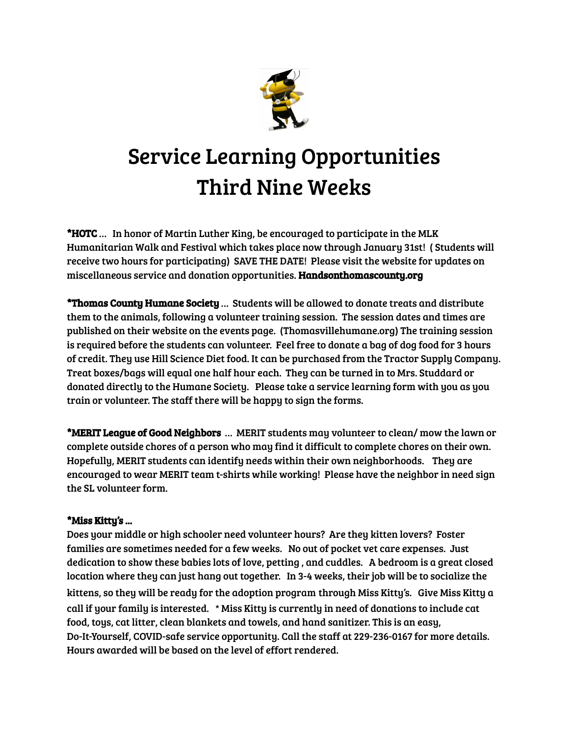

## Service Learning Opportunities Third Nine Weeks

\*HOTC … In honor of Martin Luther King, be encouraged to participate in the MLK Humanitarian Walk and Festival which takes place now through January 31st! ( Students will receive two hours for participating) SAVE THE DATE! Please visit the website for updates on miscellaneous service and donation opportunities. Handsonthomascounty.org

\*Thomas County Humane Society … Students will be allowed to donate treats and distribute them to the animals, following a volunteer training session. The session dates and times are published on their website on the events page. (Thomasvillehumane.org) The training session is required before the students can volunteer. Feel free to donate a bag of dog food for 3 hours of credit. They use Hill Science Diet food. It can be purchased from the Tractor Supply Company. Treat boxes/bags will equal one half hour each. They can be turned in to Mrs. Studdard or donated directly to the Humane Society. Please take a service learning form with you as you train or volunteer. The staff there will be happy to sign the forms.

\*MERIT League of Good Neighbors … MERIT students may volunteer to clean/ mow the lawn or complete outside chores of a person who may find it difficult to complete chores on their own. Hopefully, MERIT students can identify needs within their own neighborhoods. They are encouraged to wear MERIT team t-shirts while working! Please have the neighbor in need sign the SL volunteer form.

## \*Miss Kitty's ...

Does your middle or high schooler need volunteer hours? Are they kitten lovers? Foster families are sometimes needed for a few weeks. No out of pocket vet care expenses. Just dedication to show these babies lots of love, petting , and cuddles. A bedroom is a great closed location where they can just hang out together. In 3-4 weeks, their job will be to socialize the kittens, so they will be ready for the adoption program through Miss Kitty's. Give Miss Kitty a call if your family is interested. **\*** Miss Kitty is currently in need of donations to include cat food, toys, cat litter, clean blankets and towels, and hand sanitizer. This is an easy, Do-It-Yourself, COVID-safe service opportunity. Call the staff at 229-236-0167 for more details. Hours awarded will be based on the level of effort rendered.